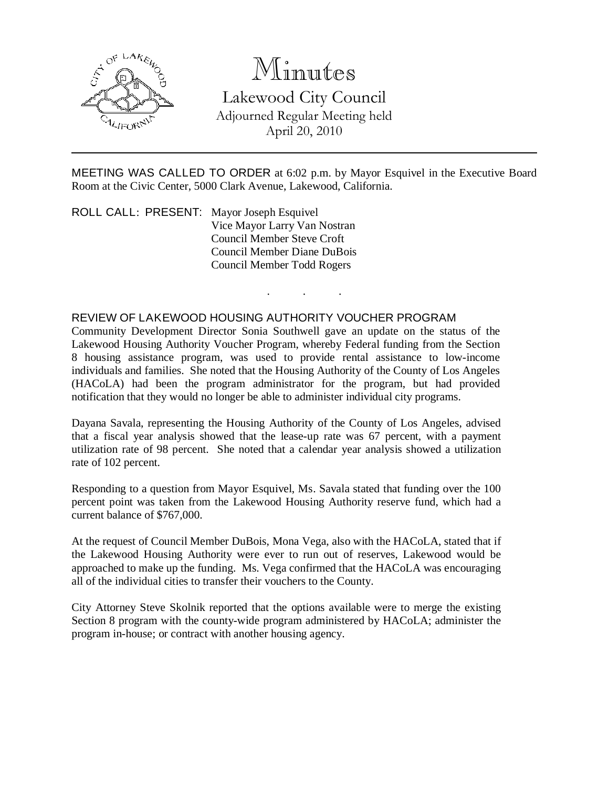

# Minutes

Lakewood City Council Adjourned Regular Meeting held April 20, 2010

MEETING WAS CALLED TO ORDER at 6:02 p.m. by Mayor Esquivel in the Executive Board Room at the Civic Center, 5000 Clark Avenue, Lakewood, California.

. . .

ROLL CALL: PRESENT: Mayor Joseph Esquivel Vice Mayor Larry Van Nostran Council Member Steve Croft Council Member Diane DuBois Council Member Todd Rogers

## REVIEW OF LAKEWOOD HOUSING AUTHORITY VOUCHER PROGRAM

Community Development Director Sonia Southwell gave an update on the status of the Lakewood Housing Authority Voucher Program, whereby Federal funding from the Section 8 housing assistance program, was used to provide rental assistance to low-income individuals and families. She noted that the Housing Authority of the County of Los Angeles (HACoLA) had been the program administrator for the program, but had provided notification that they would no longer be able to administer individual city programs.

Dayana Savala, representing the Housing Authority of the County of Los Angeles, advised that a fiscal year analysis showed that the lease-up rate was 67 percent, with a payment utilization rate of 98 percent. She noted that a calendar year analysis showed a utilization rate of 102 percent.

Responding to a question from Mayor Esquivel, Ms. Savala stated that funding over the 100 percent point was taken from the Lakewood Housing Authority reserve fund, which had a current balance of \$767,000.

At the request of Council Member DuBois, Mona Vega, also with the HACoLA, stated that if the Lakewood Housing Authority were ever to run out of reserves, Lakewood would be approached to make up the funding. Ms. Vega confirmed that the HACoLA was encouraging all of the individual cities to transfer their vouchers to the County.

City Attorney Steve Skolnik reported that the options available were to merge the existing Section 8 program with the county-wide program administered by HACoLA; administer the program in-house; or contract with another housing agency.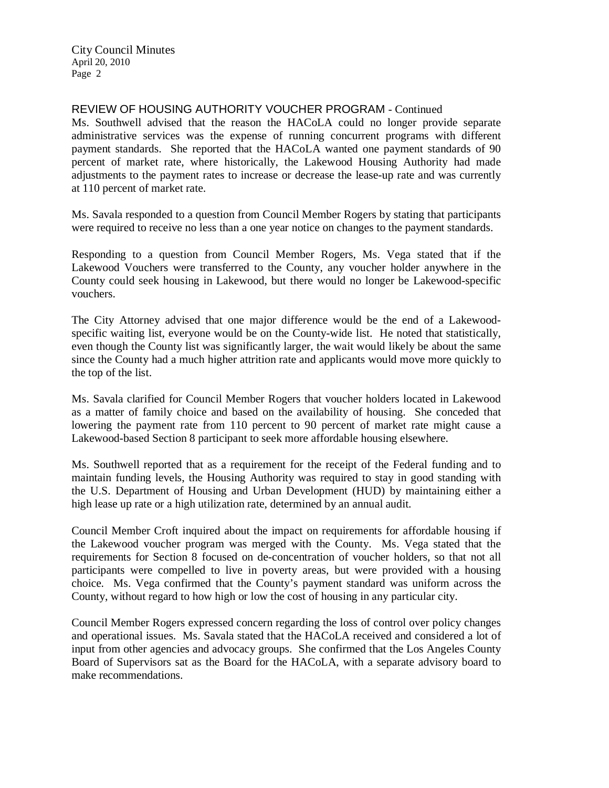#### REVIEW OF HOUSING AUTHORITY VOUCHER PROGRAM - Continued

Ms. Southwell advised that the reason the HACoLA could no longer provide separate administrative services was the expense of running concurrent programs with different payment standards. She reported that the HACoLA wanted one payment standards of 90 percent of market rate, where historically, the Lakewood Housing Authority had made adjustments to the payment rates to increase or decrease the lease-up rate and was currently at 110 percent of market rate.

Ms. Savala responded to a question from Council Member Rogers by stating that participants were required to receive no less than a one year notice on changes to the payment standards.

Responding to a question from Council Member Rogers, Ms. Vega stated that if the Lakewood Vouchers were transferred to the County, any voucher holder anywhere in the County could seek housing in Lakewood, but there would no longer be Lakewood-specific vouchers.

The City Attorney advised that one major difference would be the end of a Lakewoodspecific waiting list, everyone would be on the County-wide list. He noted that statistically, even though the County list was significantly larger, the wait would likely be about the same since the County had a much higher attrition rate and applicants would move more quickly to the top of the list.

Ms. Savala clarified for Council Member Rogers that voucher holders located in Lakewood as a matter of family choice and based on the availability of housing. She conceded that lowering the payment rate from 110 percent to 90 percent of market rate might cause a Lakewood-based Section 8 participant to seek more affordable housing elsewhere.

Ms. Southwell reported that as a requirement for the receipt of the Federal funding and to maintain funding levels, the Housing Authority was required to stay in good standing with the U.S. Department of Housing and Urban Development (HUD) by maintaining either a high lease up rate or a high utilization rate, determined by an annual audit.

Council Member Croft inquired about the impact on requirements for affordable housing if the Lakewood voucher program was merged with the County. Ms. Vega stated that the requirements for Section 8 focused on de-concentration of voucher holders, so that not all participants were compelled to live in poverty areas, but were provided with a housing choice. Ms. Vega confirmed that the County's payment standard was uniform across the County, without regard to how high or low the cost of housing in any particular city.

Council Member Rogers expressed concern regarding the loss of control over policy changes and operational issues. Ms. Savala stated that the HACoLA received and considered a lot of input from other agencies and advocacy groups. She confirmed that the Los Angeles County Board of Supervisors sat as the Board for the HACoLA, with a separate advisory board to make recommendations.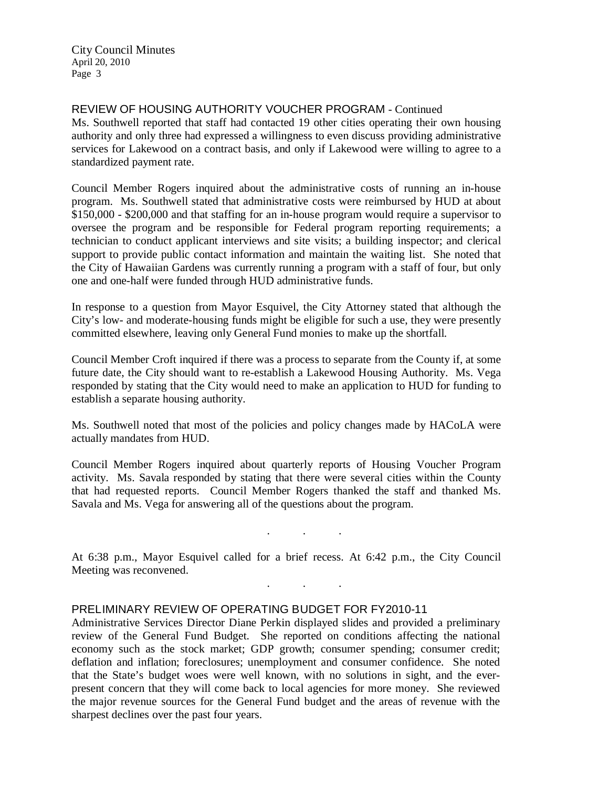# REVIEW OF HOUSING AUTHORITY VOUCHER PROGRAM - Continued

Ms. Southwell reported that staff had contacted 19 other cities operating their own housing authority and only three had expressed a willingness to even discuss providing administrative services for Lakewood on a contract basis, and only if Lakewood were willing to agree to a standardized payment rate.

Council Member Rogers inquired about the administrative costs of running an in-house program. Ms. Southwell stated that administrative costs were reimbursed by HUD at about \$150,000 - \$200,000 and that staffing for an in-house program would require a supervisor to oversee the program and be responsible for Federal program reporting requirements; a technician to conduct applicant interviews and site visits; a building inspector; and clerical support to provide public contact information and maintain the waiting list. She noted that the City of Hawaiian Gardens was currently running a program with a staff of four, but only one and one-half were funded through HUD administrative funds.

In response to a question from Mayor Esquivel, the City Attorney stated that although the City's low- and moderate-housing funds might be eligible for such a use, they were presently committed elsewhere, leaving only General Fund monies to make up the shortfall.

Council Member Croft inquired if there was a process to separate from the County if, at some future date, the City should want to re-establish a Lakewood Housing Authority. Ms. Vega responded by stating that the City would need to make an application to HUD for funding to establish a separate housing authority.

Ms. Southwell noted that most of the policies and policy changes made by HACoLA were actually mandates from HUD.

Council Member Rogers inquired about quarterly reports of Housing Voucher Program activity. Ms. Savala responded by stating that there were several cities within the County that had requested reports. Council Member Rogers thanked the staff and thanked Ms. Savala and Ms. Vega for answering all of the questions about the program.

. . .

. . .

At 6:38 p.m., Mayor Esquivel called for a brief recess. At 6:42 p.m., the City Council Meeting was reconvened.

# PRELIMINARY REVIEW OF OPERATING BUDGET FOR FY2010-11

Administrative Services Director Diane Perkin displayed slides and provided a preliminary review of the General Fund Budget. She reported on conditions affecting the national economy such as the stock market; GDP growth; consumer spending; consumer credit; deflation and inflation; foreclosures; unemployment and consumer confidence. She noted that the State's budget woes were well known, with no solutions in sight, and the everpresent concern that they will come back to local agencies for more money. She reviewed the major revenue sources for the General Fund budget and the areas of revenue with the sharpest declines over the past four years.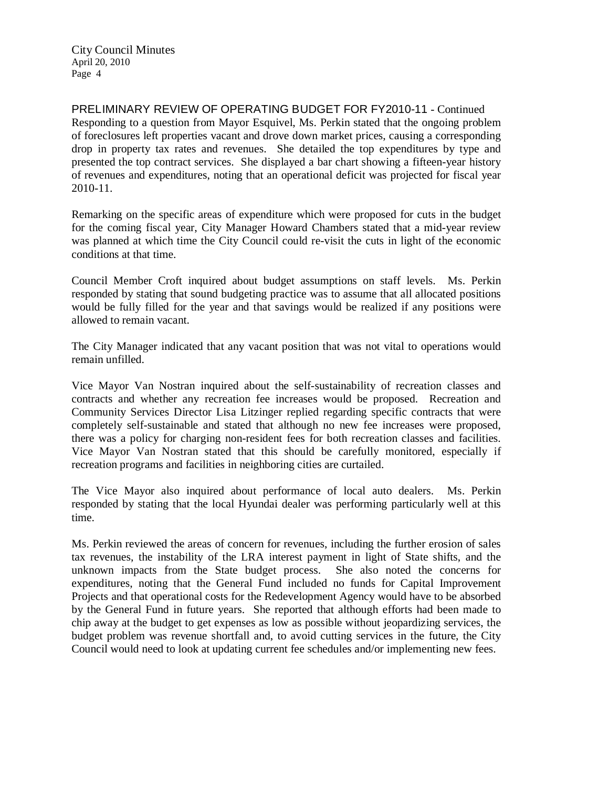PRELIMINARY REVIEW OF OPERATING BUDGET FOR FY2010-11 - Continued Responding to a question from Mayor Esquivel, Ms. Perkin stated that the ongoing problem of foreclosures left properties vacant and drove down market prices, causing a corresponding drop in property tax rates and revenues. She detailed the top expenditures by type and presented the top contract services. She displayed a bar chart showing a fifteen-year history of revenues and expenditures, noting that an operational deficit was projected for fiscal year 2010-11.

Remarking on the specific areas of expenditure which were proposed for cuts in the budget for the coming fiscal year, City Manager Howard Chambers stated that a mid-year review was planned at which time the City Council could re-visit the cuts in light of the economic conditions at that time.

Council Member Croft inquired about budget assumptions on staff levels. Ms. Perkin responded by stating that sound budgeting practice was to assume that all allocated positions would be fully filled for the year and that savings would be realized if any positions were allowed to remain vacant.

The City Manager indicated that any vacant position that was not vital to operations would remain unfilled.

Vice Mayor Van Nostran inquired about the self-sustainability of recreation classes and contracts and whether any recreation fee increases would be proposed. Recreation and Community Services Director Lisa Litzinger replied regarding specific contracts that were completely self-sustainable and stated that although no new fee increases were proposed, there was a policy for charging non-resident fees for both recreation classes and facilities. Vice Mayor Van Nostran stated that this should be carefully monitored, especially if recreation programs and facilities in neighboring cities are curtailed.

The Vice Mayor also inquired about performance of local auto dealers. Ms. Perkin responded by stating that the local Hyundai dealer was performing particularly well at this time.

Ms. Perkin reviewed the areas of concern for revenues, including the further erosion of sales tax revenues, the instability of the LRA interest payment in light of State shifts, and the unknown impacts from the State budget process. She also noted the concerns for expenditures, noting that the General Fund included no funds for Capital Improvement Projects and that operational costs for the Redevelopment Agency would have to be absorbed by the General Fund in future years. She reported that although efforts had been made to chip away at the budget to get expenses as low as possible without jeopardizing services, the budget problem was revenue shortfall and, to avoid cutting services in the future, the City Council would need to look at updating current fee schedules and/or implementing new fees.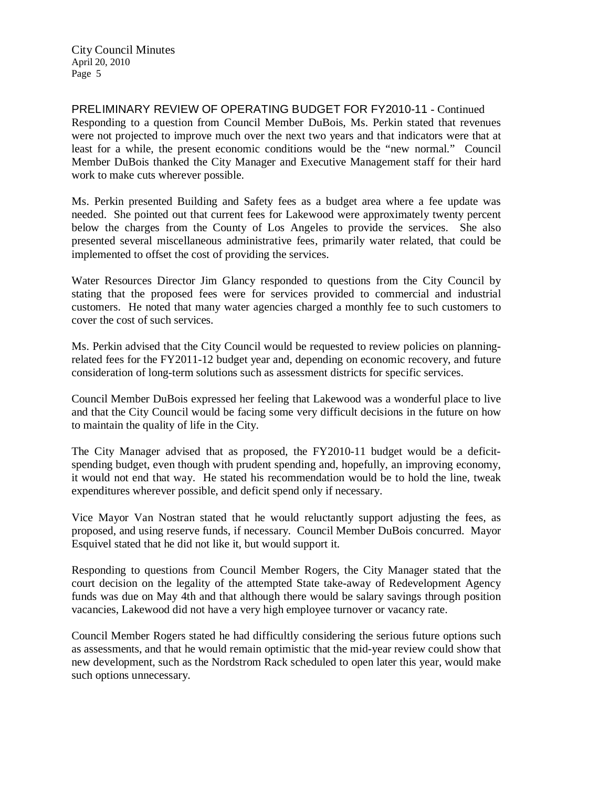PRELIMINARY REVIEW OF OPERATING BUDGET FOR FY2010-11 - Continued Responding to a question from Council Member DuBois, Ms. Perkin stated that revenues were not projected to improve much over the next two years and that indicators were that at least for a while, the present economic conditions would be the "new normal." Council Member DuBois thanked the City Manager and Executive Management staff for their hard work to make cuts wherever possible.

Ms. Perkin presented Building and Safety fees as a budget area where a fee update was needed. She pointed out that current fees for Lakewood were approximately twenty percent below the charges from the County of Los Angeles to provide the services. She also presented several miscellaneous administrative fees, primarily water related, that could be implemented to offset the cost of providing the services.

Water Resources Director Jim Glancy responded to questions from the City Council by stating that the proposed fees were for services provided to commercial and industrial customers. He noted that many water agencies charged a monthly fee to such customers to cover the cost of such services.

Ms. Perkin advised that the City Council would be requested to review policies on planningrelated fees for the FY2011-12 budget year and, depending on economic recovery, and future consideration of long-term solutions such as assessment districts for specific services.

Council Member DuBois expressed her feeling that Lakewood was a wonderful place to live and that the City Council would be facing some very difficult decisions in the future on how to maintain the quality of life in the City.

The City Manager advised that as proposed, the FY2010-11 budget would be a deficitspending budget, even though with prudent spending and, hopefully, an improving economy, it would not end that way. He stated his recommendation would be to hold the line, tweak expenditures wherever possible, and deficit spend only if necessary.

Vice Mayor Van Nostran stated that he would reluctantly support adjusting the fees, as proposed, and using reserve funds, if necessary. Council Member DuBois concurred. Mayor Esquivel stated that he did not like it, but would support it.

Responding to questions from Council Member Rogers, the City Manager stated that the court decision on the legality of the attempted State take-away of Redevelopment Agency funds was due on May 4th and that although there would be salary savings through position vacancies, Lakewood did not have a very high employee turnover or vacancy rate.

Council Member Rogers stated he had difficultly considering the serious future options such as assessments, and that he would remain optimistic that the mid-year review could show that new development, such as the Nordstrom Rack scheduled to open later this year, would make such options unnecessary.